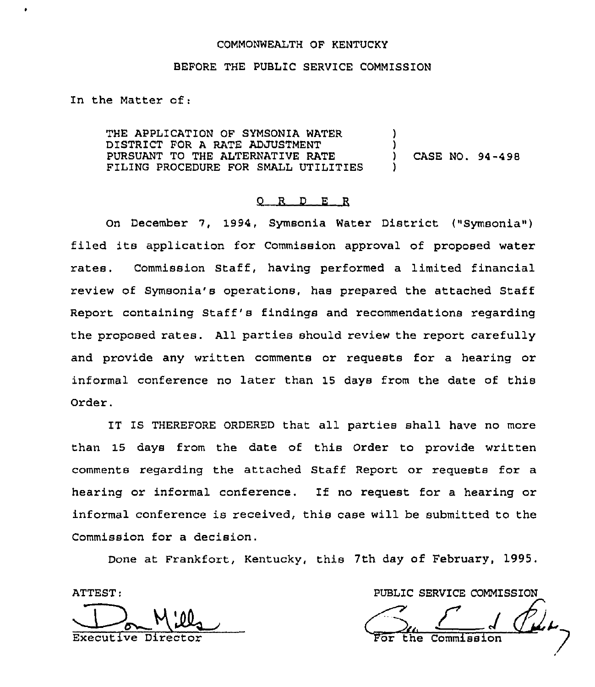#### COMMONWEALTH OF KENTUCKY

#### BEFORE THE PUBLIC SERVICE COMMISSION

In the Matter of:

THE APPLICATION OF SYMSONIA WATER DISTRICT FOR A RATE ADJUSTMENT PURSUANT TO THE ALTERNATIVE RATE FILING PROCEDURE FOR SMALL UTILITIES ) ) ) CASE NO. 94-498 )

## 0 R <sup>D</sup> E R

On December 7, 1994, Symsonia Water District ("Symsonia") filed its application for Commission approval of proposed water rates. Commission Staff, having performed a limited financial review of Symsonia's operations, has prepared the attached Staff Report containing Staff's findings and recommendations regarding the proposed rates. All parties should review the report carefully and provide any written comments or requests for a hearing or informal conference no later than 15 days from the date of this Order.

IT IS THEREFORE ORDERED that all parties shall have no more than 15 days from the date of this Order to provide written comments regarding the attached Staff Report or requests for a hearing or informal conference. If no request for <sup>a</sup> hearing or informal conference is received, this case will be submitted to the Commission for a decision.

Done at Frankfort, Kentucky, this 7th day of February, 1995.

ATTEST:

Executive Director

PUBLIC SERVICE COMMISSION

 $\frac{1}{2}$ or the Commissio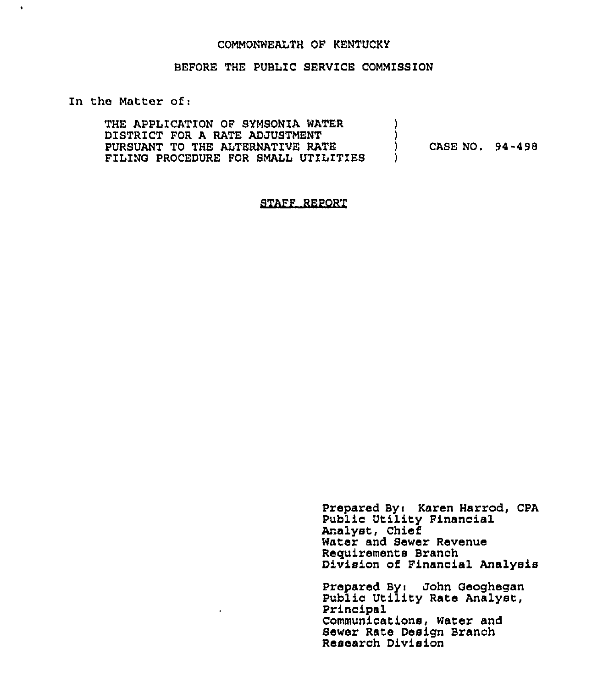## COMMONWEALTH OF KENTUCKY

## BEFORE THE PUBLIC SERVICE COMMISSION

## In the Matter of:

 $\hat{\textbf{v}}$ 

| THE APPLICATION OF SYMSONIA WATER    |                 |  |
|--------------------------------------|-----------------|--|
| DISTRICT FOR A RATE ADJUSTMENT       |                 |  |
| PURSUANT TO THE ALTERNATIVE RATE     | CASE NO. 94-498 |  |
| FILING PROCEDURE FOR SMALL UTILITIES |                 |  |

 $\sim 10$ 

STAFF REPORT

 $\mathbf{r}$  .

Prepared By: Karen Harrod, CPA Public Utility Financia Analyst, Chief Water and Sewer Revenu Requirements Branch Division of Financial Analysi

Prepared By: John Geoghega Public Utility Rate Analyst, Principal Communications, Water and Sewer Rate Design Branch Research Divisio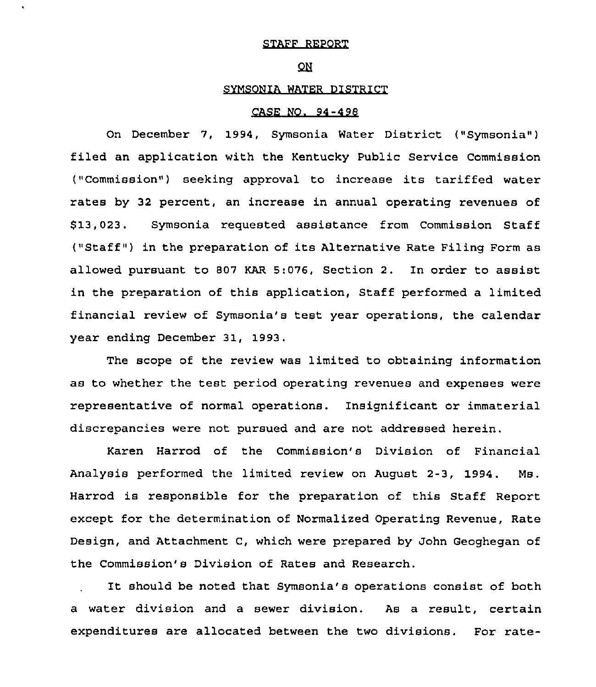# STAFF REPORT

## QN

# SYMSONIA WATER DISTRICT

#### CASE NO. 94 -4 98

On December 7, 1994, Symsonia Water District ("Symsonia") filed an application with the Kentucky Public Service Commission ("Commission") seeking approval to increase its tariffed water rates by 32 percent, an increase in annual operating revenues of \$ 13,023. Symsonia requested assistance from Commission Staff ("Staff") in the preparation of its Alternative Rate Filing Form as allowed pursuant to 807 KAR 5:076, Section 2. In order to assist in the preparation of this application, Staff performed a limited financial review of Symsonia's test year operations, the calendar year ending December 31, 1993.

The scope of the review was limited to obtaining information as to whether the test period operating revenues and expenses were representative of normal operations. Insignificant or immaterial discrepancies were not pursued and are not addressed herein.

Karen Harrod of the Commission's Division of Financial Analysis performed the limited review on August 2-3, 1994. Ms. Harrod is responsible for the preparation of this Staff Report except for the determination of Normalized Operating Revenue, Rate Design, and Attachment C, which were prepared by John Geoghegan of the Commission's Division of Rates and Research.

It should be noted that Symsonia's operations consist of both a water division and a sewer division. As a result, certain expenditures are allocated between the two divisions. For rate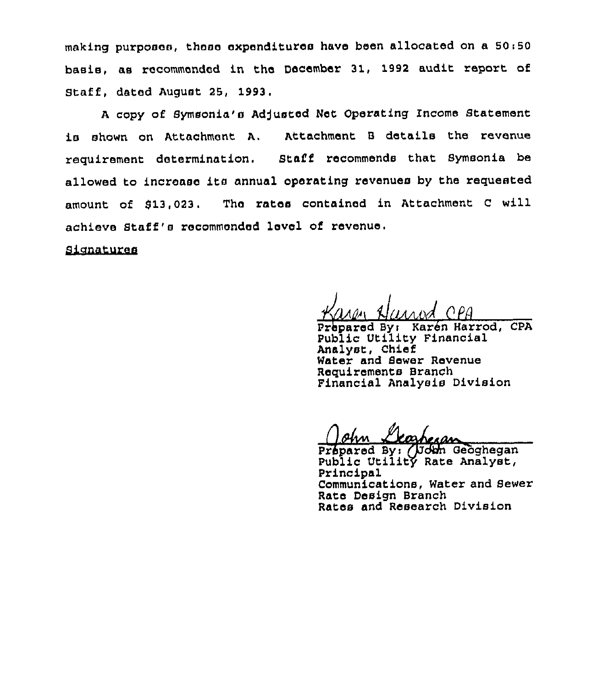making purposes, these expenditures have been allocated on a 50:50 basis, as recommended in the December 31, 1992 audit report of Staff, dated August 25, 1993.

A copy of Symsonia's Adjusted Net Operating Income Statement is shown on Attachment A. Attachment <sup>B</sup> details the revenue requirement determination. Staff recommends that Symsonia be allowed to increase its annual operating revenues by the requested amount of 913,023, The rates contained in Attachment <sup>C</sup> will achieve Staff's recommended level of revenue,

**Signatures** 

dlAdn Alltsnntl CIPll

Prbpared Byi Karbn Harrod, CPA Public Utility Financial Analyst, Chief Water and Sewer Revenue Requirements Branch Financial Analysis Division

( Ohm Llasheran

Public Utility Rate Analyst, Principal Communications, Watex and Sewer Rate Design Branch Rates and Research Division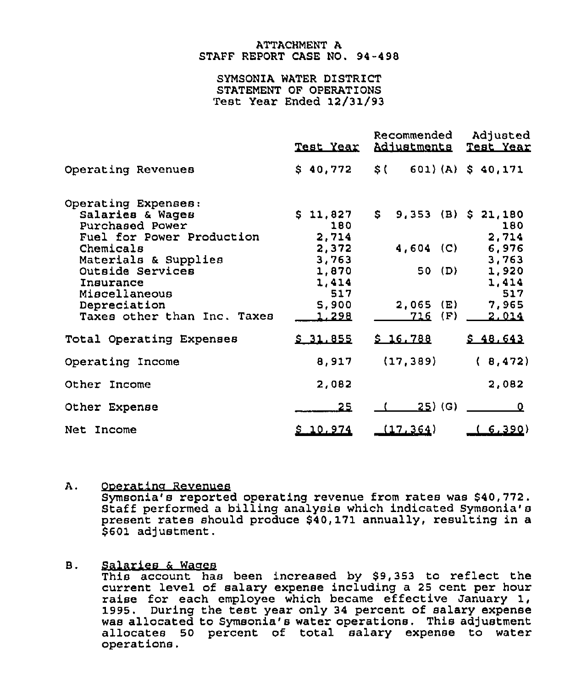## ATTACHMENT A STAFF REPORT CASE NO. 94-498

## SYMSONIA WATER DISTRICT STATEMENT OF OPERATIONS Test Year Ended 12/31/93

|                                                                                                                                                                                                                               | <u>Test Year</u>                                                                             | Recommended<br>Adjustments                                             | Adjusted<br>Test Year                                                                 |
|-------------------------------------------------------------------------------------------------------------------------------------------------------------------------------------------------------------------------------|----------------------------------------------------------------------------------------------|------------------------------------------------------------------------|---------------------------------------------------------------------------------------|
| Operating Revenues                                                                                                                                                                                                            | \$40,772                                                                                     | \$() 601)(A) \$40,171                                                  |                                                                                       |
| Operating Expenses:<br>Salaries & Wages<br>Purchased Power<br>Fuel for Power Production<br>Chemicals<br>Materials & Supplies<br>Outside Services<br>Insurance<br>Miscellaneous<br>Depreciation<br>Taxes other than Inc. Taxes | \$11,827<br>180<br>2,714<br>2,372<br>3,763<br>1,870<br>1,414<br>517<br>5,900<br><u>1,298</u> | \$.<br>9,353 (B)<br>$4,604$ (C)<br>50(D)<br>2,065<br>(E)<br>(F)<br>716 | \$21,180<br>180<br>2,714<br>6,976<br>3,763<br>1,920<br>1,414<br>517<br>7,965<br>2.014 |
| Total Operating Expenses                                                                                                                                                                                                      | \$31.855                                                                                     | \$16.788                                                               | \$48,643                                                                              |
| Operating Income                                                                                                                                                                                                              | 8,917                                                                                        | (17, 389)                                                              | (8, 472)                                                                              |
| Other Income                                                                                                                                                                                                                  | 2,082                                                                                        |                                                                        | 2,082                                                                                 |
| Other Expense                                                                                                                                                                                                                 | 25                                                                                           | <u>25</u> )(G)                                                         | 0                                                                                     |
| Net Income                                                                                                                                                                                                                    | \$10.974                                                                                     | (17.364)                                                               | <u>(6,390</u>                                                                         |

## A. Ooeratina Revenues

Symsonia's reported operating revenue from rates was \$40,772. Staff performed a billing analysis which indicated Symsonia's present rates should produce \$40,171 annually, resulting in a \$601 adjustment.

#### Salaries & Wages **B.**

This account has been increased by \$9,353 to reflect the current level of salary expense including a 25 cent per hour raise for each employee which became effective January 1, 1995, During the test year only 34 percent of salary expense was allocated to Symsonia's water operations. This adjustment allocates 50 percent of total salary expense to water operations.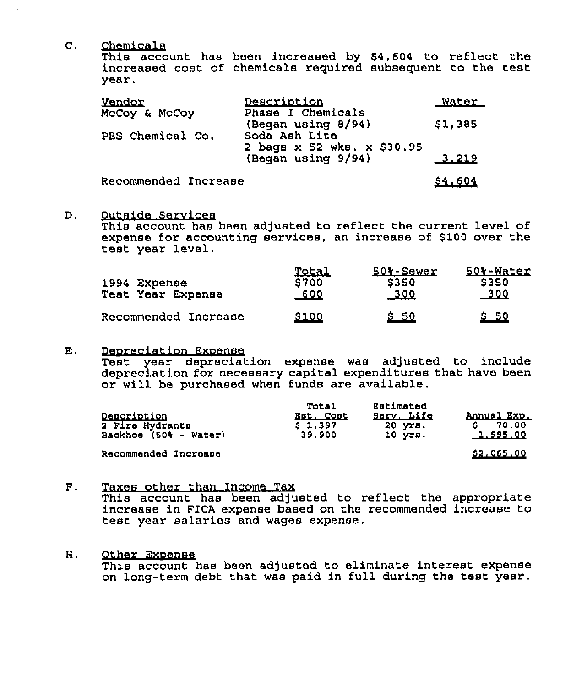Chemicals  $\mathsf{C}$ .

This account has been increased by \$4,604 to reflect the increased cost of chemicals required subsequent to the test year,

| <b>Vendor</b>        | Description                                 | Water    |
|----------------------|---------------------------------------------|----------|
| McCoy & McCoy        | Phase I Chemicals<br>(Began using 8/94)     | \$1,385  |
| PBS Chemical Co.     | Soda Ash Lite<br>2 bags x 52 wks. x \$30.95 |          |
|                      | (Began using 9/94)                          | $-3.219$ |
| Recommended Increase |                                             | \$4,604  |

Outside Services D.

This account has been adjusted to reflect the current level of expense for accounting services, an increase of \$100 over the teat year level.

| 1994 Expense<br>Test Year Expense | <b>Total</b><br><b>S700</b><br>-600 | 501-Sewer<br>\$350<br><u>_300</u> | 50%-Water<br>5350<br>300 |
|-----------------------------------|-------------------------------------|-----------------------------------|--------------------------|
| Recommended Increase              | \$100                               | <u>s so</u>                       | <u>s 50</u>              |

Deoreciation Rxoense  $E_{\perp}$ 

Test year depreciation expense was adjusted to include depreciation for necessary capital expenditures that have been or will be purchased when funds are available.

| Description<br>2 Fire Hydrants<br>Backhoe (50% - Water) | <b>Total</b><br>Est, Cost<br>S 1,397<br>39.900 | Estimated<br>Serv, Life<br>20 yrs.<br>$10$ $VFB$ . | Annual Exp.<br>70.00<br>1,995.00 |
|---------------------------------------------------------|------------------------------------------------|----------------------------------------------------|----------------------------------|
| Recommended Increase                                    |                                                |                                                    | \$2,065,00                       |

Taxes other than Income Tax  $\mathbf{F}$ .

> This account has been adjusted to reflect the appropriate increase in PICA expense based on the recommended increase to test year salaries and wages expense.

H. Other Exoense

This account has been adjusted to eliminate interest expense on long-term debt that was paid in full during the test year.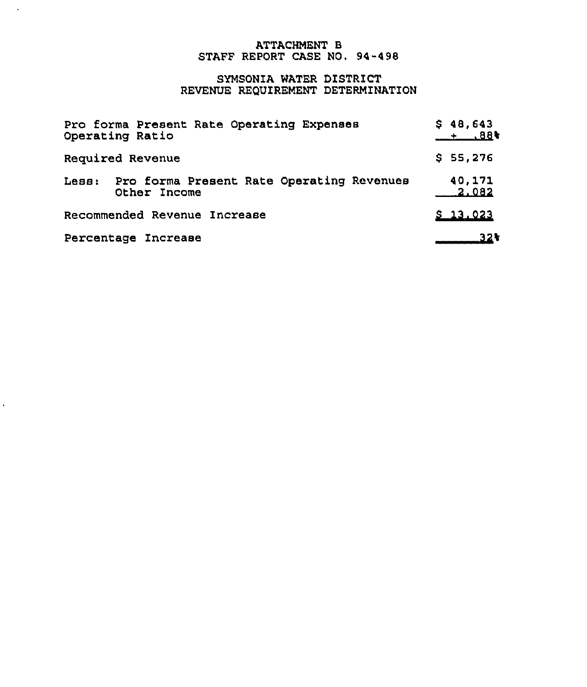# ATTACHMENT B STAFF REPORT CASE NO. 94-498

 $\mathcal{A}$ 

 $\hat{\mathbf{r}}$ 

# SYNSONIA WATER DISTRICT REVENUE REQUIREMENT DETERMINATION

| Pro forma Present Rate Operating Expenses<br>Operating Ratio        | \$48,643<br>$+ 88$ |
|---------------------------------------------------------------------|--------------------|
| Required Revenue                                                    | \$55,276           |
| Pro forma Present Rate Operating Revenues<br>$LeB:$<br>Other Income | 40,171<br>2.082    |
| Recommended Revenue Increase                                        | \$13.023           |
| Percentage Increase                                                 | 32 t               |